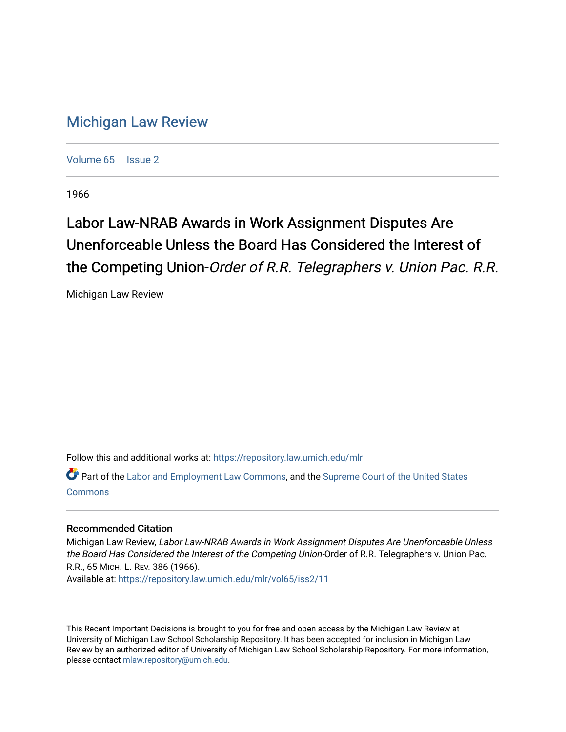## [Michigan Law Review](https://repository.law.umich.edu/mlr)

[Volume 65](https://repository.law.umich.edu/mlr/vol65) | [Issue 2](https://repository.law.umich.edu/mlr/vol65/iss2)

1966

## Labor Law-NRAB Awards in Work Assignment Disputes Are Unenforceable Unless the Board Has Considered the Interest of the Competing Union-Order of R.R. Telegraphers v. Union Pac. R.R.

Michigan Law Review

Follow this and additional works at: [https://repository.law.umich.edu/mlr](https://repository.law.umich.edu/mlr?utm_source=repository.law.umich.edu%2Fmlr%2Fvol65%2Fiss2%2F11&utm_medium=PDF&utm_campaign=PDFCoverPages) 

Part of the [Labor and Employment Law Commons](http://network.bepress.com/hgg/discipline/909?utm_source=repository.law.umich.edu%2Fmlr%2Fvol65%2Fiss2%2F11&utm_medium=PDF&utm_campaign=PDFCoverPages), and the [Supreme Court of the United States](http://network.bepress.com/hgg/discipline/1350?utm_source=repository.law.umich.edu%2Fmlr%2Fvol65%2Fiss2%2F11&utm_medium=PDF&utm_campaign=PDFCoverPages) [Commons](http://network.bepress.com/hgg/discipline/1350?utm_source=repository.law.umich.edu%2Fmlr%2Fvol65%2Fiss2%2F11&utm_medium=PDF&utm_campaign=PDFCoverPages)

## Recommended Citation

Michigan Law Review, Labor Law-NRAB Awards in Work Assignment Disputes Are Unenforceable Unless the Board Has Considered the Interest of the Competing Union-Order of R.R. Telegraphers v. Union Pac. R.R., 65 MICH. L. REV. 386 (1966). Available at: [https://repository.law.umich.edu/mlr/vol65/iss2/11](https://repository.law.umich.edu/mlr/vol65/iss2/11?utm_source=repository.law.umich.edu%2Fmlr%2Fvol65%2Fiss2%2F11&utm_medium=PDF&utm_campaign=PDFCoverPages) 

This Recent Important Decisions is brought to you for free and open access by the Michigan Law Review at University of Michigan Law School Scholarship Repository. It has been accepted for inclusion in Michigan Law Review by an authorized editor of University of Michigan Law School Scholarship Repository. For more information, please contact [mlaw.repository@umich.edu.](mailto:mlaw.repository@umich.edu)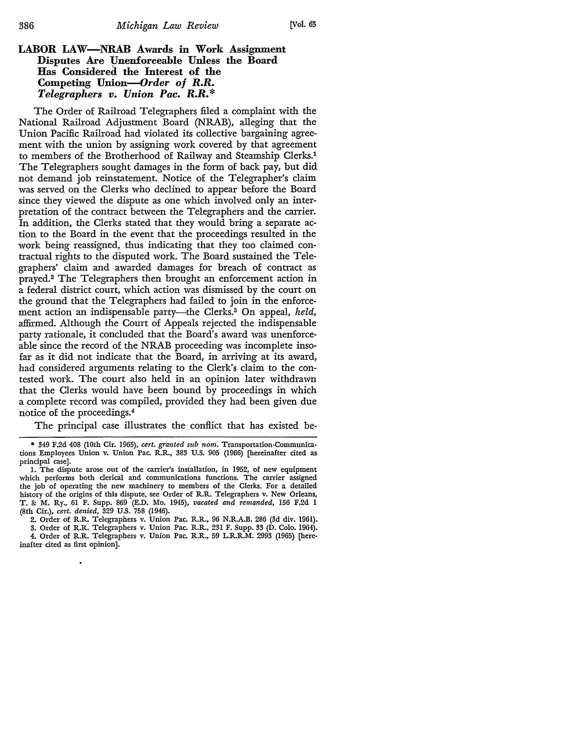## LABOR LAW-NRAB Awards in Work Assignment Disputes Are Unenforceable Unless the Board Has Considered the Interest of the Competing Union-Order of *R.R. Telegraphers v. Union Pac. R.R.\**

The Order of Railroad Telegraphers filed a complaint with the National Railroad Adjustment Board (NRAB), alleging that the Union Pacific Railroad had violated its collective bargaining agreement with the union by assigning work covered by that agreement to members of the Brotherhood of Railway and Steamship Clerks.1 The Telegraphers sought damages in the form of back pay, but did not demand job reinstatement. Notice of the Telegrapher's claim was served on the Clerks who declined to appear before the Board since they viewed the dispute as one which involved only an interpretation of the contract between the Telegraphers and the carrier. In addition, the Clerks stated that they would bring a separate action to the Board in the event that the proceedings resulted in the work being reassigned, thus indicating that they too claimed contractual rights to the disputed work. The Board sustained the Telegraphers' claim and awarded damages for breach of contract as prayed.2 The Telegraphers then brought an enforcement action in a federal district court, which action was dismissed by the court on the ground that the Telegraphers had failed to join in the enforcement action an indispensable party-the Clerks.<sup>3</sup> On appeal, *held*, affirmed. Although the Court of Appeals rejected the indispensable party rationale, it concluded that the Board's award was unenforceable since the record of the NRAB proceeding was incomplete insofar as it did not indicate that the Board, in arriving at its award, had considered arguments relating to the Clerk's claim to the contested work. The court also held in an opinion later withdrawn that the Clerks would have been bound by proceedings in which a complete record was compiled, provided they had been given due notice of the proceedings. <sup>4</sup>

The principal case illustrates the conflict that has existed be-

<sup>• 349</sup> F.2d 408 (10th Cir. 1965), *cert. granted sub nom.* Transportation-Communications Employees Union v. Union Pac. R.R., **383 U.S.** 905 (1966) [hereinafter **cited as**  principal case].

I. The dispute arose out of the carrier's installation, in 1952, of new equipment which performs both clerical and communications functions. The carrier assigned the job of operating the new machinery to members of the Clerks. For a detailed history of the origins of this dispute, see Order of R.R. Telegraphers v. New Orleans, T. & M. Ry., 61 F. Supp. 869 (E.D. Mo. 1945), *vacated and remanded,* 156 F.2d 1 (8th Cir.), *cert. denied,* 329 U.S. 758 (1946).

<sup>2.</sup> Order of R.R. Telegraphers v. Union Pac. R.R., 96 N.R.A.B. 286 (3d div. 1961).

<sup>3.</sup> Order of R.R. Telegraphers v. Union Pac. R.R., 231 F. Supp. 33 (D. Colo. 1964). 4. Order of R.R. Telegraphers v. Union Pac. R.R., 59 L.R.R.M. 2993 (1965) [hereinafter cited as first opinion].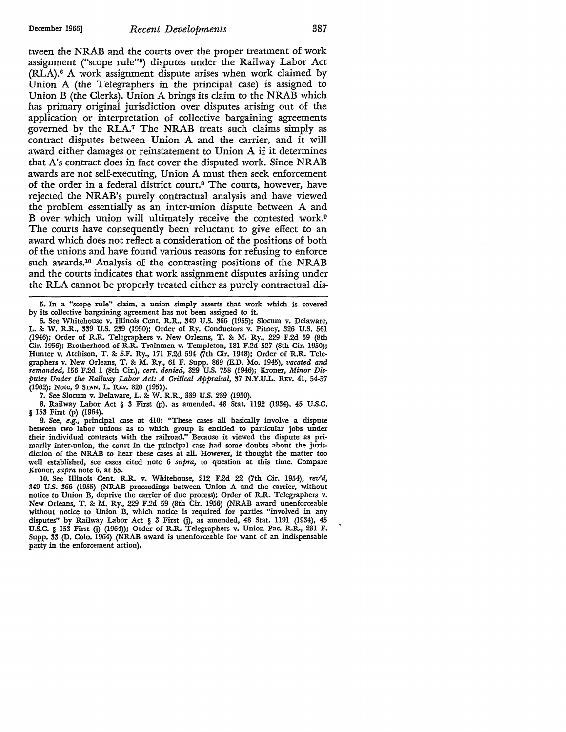tween the NRAB and the courts over the proper treatment of work assignment ("scope rule"5) disputes under the Railway Labor Act (RLA). 0 A work assignment dispute arises when work claimed by Union A (the Telegraphers in the principal case) is assigned to Union B (the Clerks). Union A brings its claim to the NRAB which has primary original jurisdiction over disputes arising out of the application or interpretation of collective bargaining agreements governed by the RLA.7 The NRAB treats such claims simply as contract disputes between Union A and the carrier, and it will award either damages or reinstatement to Union A if it determines that A's contract does in fact cover the disputed work. Since NRAB awards are not self-executing, Union A must then seek enforcement of the order in a federal district court.<sup>8</sup> The courts, however, have rejected the NRAB's purely contractual analysis and have viewed the problem essentially as an inter-union dispute between A and B over which union will ultimately receive the contested work.<sup>9</sup> The courts have consequently been reluctant to give effect to an award which does not reflect a consideration of the positions of both of the unions and have found various reasons for refusing to enforce such awards.10 Analysis of the contrasting positions of the NRAB and the courts indicates that work assignment disputes arising under the RLA cannot be properly treated either as purely contractual dis-

7. See Slocum v. Delaware, L. &: W. R.R., 339 U.S. 239 (1950).

8. Railway Labor Act § 3 First (p), as amended, 48 Stat. 1192 (1934), 45 U.S.C. § 153 First (p) (1964).

9. See, *e.g.,* principal case at 410: "These cases all basically involve a dispute between two labor unions as *to* which group is entitled *to* particular jobs under their individual contracts with the railroad." Because it viewed the dispute as primarily inter-union, the court in the principal case had some doubts about the jurisdiction of the NRAB to hear these cases at all. However, it thought the matter too well established, see cases cited note 6 *supra,* to question at this time. Compare Kroner, *supra* note 6, at 55.

10. See Illinois Cent. R.R. v. Whitehouse, 212 F.2d 22 (7th Cir. 1954), *rev'd,*  349 U.S. 366 (1955) (NRAB proceedings between Union A and the carrier, without notice to Union B, deprive the carrier of due process); Order of R.R. Telegraphers v. New Orleans, T. & M. Ry., 229 F.2d 59 (8th Cir. 1956) (NRAB award unenforceable without notice *to* Union B, which notice is required for parties "involved in any disputes" by Railway Labor Act § 3 First (j), as amended, 48 Stat. 1191 (1934), 45 U.S.C. § 153 First (j) (1964)); Order of R.R. Telegraphers v. Union Pac. R.R., 231 F. Supp. 33 (D. Colo. 1964) (NRAB award is unenforceable for want of an indispensable party in the enforcement action).

<sup>5.</sup> In a "scope rule" claim, a union simply asserts that work which is covered by its collective bargaining agreement has not been assigned to it.

<sup>6.</sup> See Whitehouse v. Illinois Cent. R.R., 349 U.S. 366 (1955); Slocum v. Delaware, L. &: W. R.R., 339 U.S. 239 (1950); Order of Ry. Conductors v. Pitney, 326 U.S. 561 (1946); Order of R.R. Telegraphers v. New Orleans, T. & M. Ry., 229 F.2d 59 (8th Cir. 1956); Brotherhood of R.R. Trainmen v. Templeton, 181 F.2d 527 (8th Cir. 1950); Hunter v. Atchison, T. &: S.F. Ry., 171 F.2d 594 (7th Cir. 1948); Order of R.R. Telegraphers v. New Orleans, T. &: M. Ry., 61 F. Supp. 869 (E.D. Mo. 1945), *vacated and remanded,* 156 F.2d 1 (8th Cir.), *cert. denied,* 329 U.S. 758 (1946); Kroner, *Minor Dis*putes Under the Railway Labor Act: A Critical Appraisal, 37 N.Y.U.L. REv. 41, 54-57 (1962); Note, 9 STAN. L. REV. 820 (1957).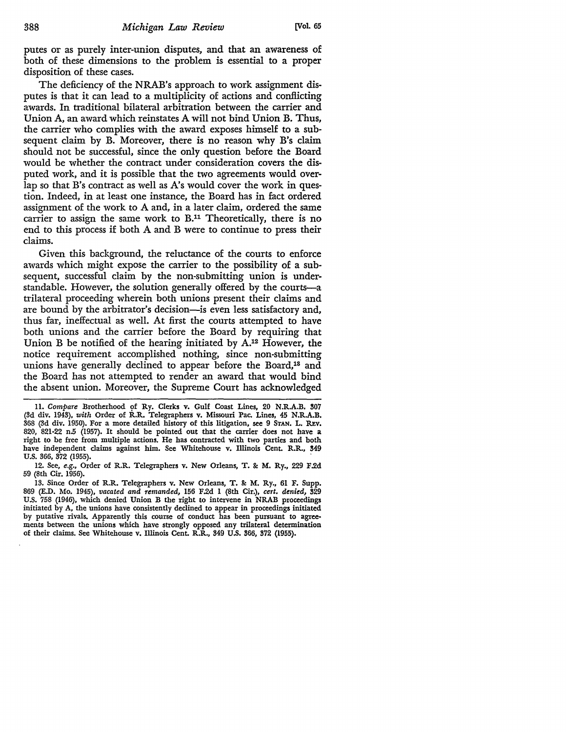putes or as purely inter-union disputes, and that an awareness of both of these dimensions to the problem is essential to a proper disposition of these cases.

The deficiency of the NRAB's approach to work assignment disputes is that it can lead to a multiplicity of actions and conflicting awards. In traditional bilateral arbitration between the carrier and Union A, an award which reinstates A will not bind Union B. Thus, the carrier who complies with the award exposes himself to a subsequent claim by B. Moreover, there is no reason why B's claim should not be successful, since the only question before the Board would be whether the contract under consideration covers the disputed work, and it is possible that the two agreements would overlap so that B's contract as well as A's would cover the work in question. Indeed, in at least one instance, the Board has in fact ordered assignment of the work to A and, in a later claim, ordered the same carrier to assign the same work to B.11 Theoretically, there is no end to this process if both A and B were to continue to press their claims.

Given this background, the reluctance of the courts to enforce awards which might expose the carrier to the possibility of a subsequent, successful claim by the non-submitting union is understandable. However, the solution generally offered by the courts-a trilateral proceeding wherein both unions present their claims and are bound by the arbitrator's decision-is even less satisfactory and, thus far, ineffectual as well. At first the courts attempted to have both unions and the carrier before the Board by requiring that Union B be notified of the hearing initiated by A.12 However, the notice requirement accomplished nothing, since non-submitting unions have generally declined to appear before the Board,<sup>13</sup> and the Board has not attempted to render an award that would bind the absent union. Moreover, the Supreme Court has acknowledged

<sup>11.</sup> Compare Brotherhood of Ry. Clerks v. Gulf Coast Lines, 20 N.R.A.B. 307 (3d div. 1943), *with* Order of R.R. Telegraphers v. Missouri Pac. Lines, 45 N.R.A.B. 368 (3d div. 1950). For a more detailed history of this litigation, see 9 STAN. L. REv. 820, 821-22 n.5 (1957). It should be pointed out that the carrier does not have **a**  right to be free from multiple actions. He has contracted with two parties and both have independent claims against him. See Whitehouse v. Illinois Cent. R.R., 349 U.S. 366, 372 (1955).

<sup>12.</sup> See, *e.g.,* Order of R.R. Telegraphers v. New Orleans, T. & **M.** Ry., 229 F.2d 59 (8th Cir. 1956).

<sup>13.</sup> Since Order of R.R. Telegraphers v. New Orleans, T. & M. Ry., 61 F. Supp. 869 (E.D. Mo. 1945), *vacated and remanded*, 156 F.2d 1 (8th Cir.), *cert. denied*, 329 U.S. 758 (1946), which denied Union B the right to intervene in NRAB proceedings initiated by A, the unions have consistently declined to appear in proceedings initiated by putative rivals. Apparently this course of conduct has been pursuant to agreements between the unions which have strongly opposed any trilateral determination of their claims. See Whitehouse v. Illinois Cent. R.R., 349 U.S. 366, 372 (1955).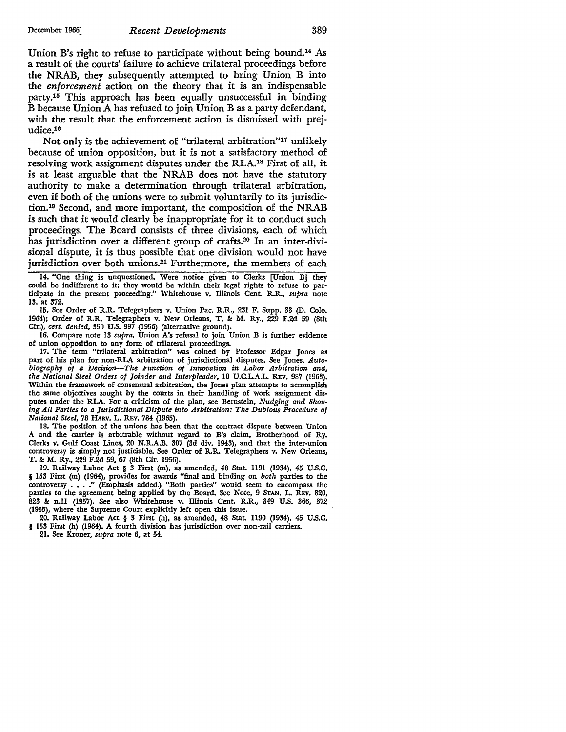Union B's right to refuse to participate without being bound.<sup>14</sup> As a result of the courts' failure to achieve trilateral proceedings before the NRAB, they subsequently attempted to bring Union B into the *enforcement* action on the theory that it is an indispensable party.15 This approach has been equally unsuccessful in binding B because Union A has refused to join Union B as a party defendant, with the result that the enforcement action is dismissed with prejudice.16

Not only is the achievement of "trilateral arbitration"17 unlikely because of union opposition, but it is not a satisfactory method of resolving work assignment disputes under the RLA.18 First of all, it is at least arguable that the NRAB does not have the statutory authority to make a determination through trilateral arbitration, even if both of the unions were to submit voluntarily to its jurisdiction.19 Second, and more important, the composition of the NRAB is such that it would clearly be inappropriate for it to conduct such proceedings. The Board consists of three divisions, each of which has jurisdiction over a different group of crafts.<sup>20</sup> In an inter-divisional dispute, it is thus possible that one division would not have jurisdiction over both unions.<sup>21</sup> Furthermore, the members of each

14. "One thing is unquestioned. Were notice given to Clerks [Union BJ they could be indifferent to it; they would be within their legal rights to refuse to participate in the present proceeding." Whitehouse v. Illinois Cent. R.R., *supra* note 13, at 372.

15. See Order of R.R. Telegraphers v. Union Pac. R.R., 231 F. Supp. 33 (D. Colo. 1964); Order of R.R. Telegraphers v. New Orleans, T. & M. Ry., 229 F.2d 59 (8th Cir.), *cert. denied,* 350 U.S. 997 (1956) (alternative ground).

16. Compare note 13 *supra.* Union A's refusal to join Union B is further evidence of union opposition to any form of trilateral proceedings.

17. The term "trilateral arbitration" was coined by Professor Edgar Jones as part of his plan for non-RLA arbitration of jurisdictional disputes. See Jones, *Autobiography of a Decision-The Function of Innovation* in *Labor Arbitration and, the National Steel Orders of Joinder and Interpleader,* IO U.C.L.A.L. REv. 987 (1963). Within the framework of consensual arbitration, the Jones plan attempts to accomplish the same objectives sought by the courts in their handling of work assignment disputes under the RLA. For a criticism of the plan, see Bernstein, *Nudging and Shov*ing All Parties to a Jurisdictional Dispute into Arbitration: The Dubious Procedure of *National Steel,* 78 HARV. L. REV. 784 (1965).

18. The position of the unions has been that the contract dispute between Union A and the carrier is arbitrable without regard to B's claim, Brotherhood of Ry. Clerks v. Gulf Coast Lines, 20 N.R.A.B. 307 (3d div. 1943), and that the inter-union controversy is simply not justiciable. See Order of R.R. Telegraphers v. New Orleans, T. &: M. Ry., 229 F.2d 59, 67 (8th Cir. 1956).

19. Railway Labor Act § 3 First (m), as amended, 48 Stat. 1191 (1934), 45 U.S.C. § 153 First (m) (1964), provides for awards "final and binding on *both* parties to the controversy . . . " (Emphasis added.) "Both parties" would seem to encompass the parties to the agreement being applied by the Board. See Note, 9 STAN. L. REV. 820, 823 &: n.11 (1957). See also Whitehouse v. Illinois Cent. R.R., 349 U.S. 366, 372 (1955), where the Supreme Court explicitly left open this issue.

20. Railway Labor Act § 3 First (h), as amended, 48 Stat. 1190 (1934), 45 U.S.C. § 153 First (h) (1964). A fourth division has jurisdiction over non-rail carriers.

21. See Kroner, *supra* note 6, at 54.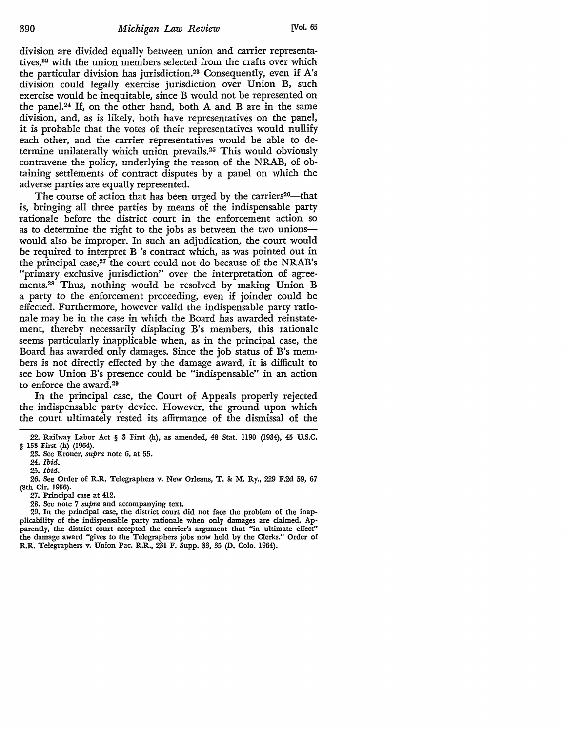division are divided equally between union and carrier representatives,<sup>22</sup> with the union members selected from the crafts over which the particular division has jurisdiction.23 Consequently, even if A's division could legally exercise jurisdiction over Union B, such exercise would be inequitable, since B would not be represented on the panel. 24 If, on the other hand, both A and B are in the same division, and, as is likely, both have representatives on the panel, it is probable that the votes of their representatives would nullify each other, and the carrier representatives would be able to determine unilaterally which union prevails.25 This would obviously contravene the policy, underlying the reason of the NRAB, of obtaining settlements of contract disputes by a panel on which the adverse parties are equally represented.

The course of action that has been urged by the carriers<sup>26</sup>—that is, bringing all three parties by means of the indispensable party rationale before the district court in the enforcement action so as to determine the right to the jobs as between the two unionswould also be improper. In such an adjudication, the court would be required to interpret B 's contract which, as was pointed out in the principal case,<sup>27</sup> the court could not do because of the NRAB's "primary exclusive jurisdiction" over the interpretation of agreements.28 Thus, nothing would be resolved by making Union B a party to the enforcement proceeding, even if joinder could be effected. Furthermore, however valid the indispensable party rationale may be in the case in which the Board has awarded reinstatement, thereby necessarily displacing B's members, this rationale seems particularly inapplicable when, as in the principal case, the Board has awarded only damages. Since the job status of B's members is not directly effected by the damage award, it is difficult to see how Union B's presence could be "indispensable" in an action to enforce the award.<sup>29</sup>

In the principal case, the Court of Appeals properly rejected the indispensable party device. However, the ground upon which the court ultimately rested its affirmance of the dismissal of the

28. See note 7 *supra* and accompanying text.

<sup>22.</sup> Railway Labor Act § 3 First (h), as amended, 48 Stat. 1190 (1934), 45 U.S.C. § 153 First (h) (1964).

<sup>23.</sup> See Kroner, *supra* note 6, at 55.

<sup>24.</sup> *Ibid.* 

<sup>25.</sup> *Ibid.* 

<sup>26.</sup> See Order of **R.R.** Telegraphers v. New Orleans, T. & M. Ry., 229 F.2d 59, 67 (8th Cir. 1956).

<sup>27.</sup> Principal case at 412.

<sup>29.</sup> In the principal case, the district court did not face the problem of the inapplicability of the indispensable party rationale when only damages are claimed. Apparently, the district court accepted the carrier's argument that "in ultimate effect" the damage award "gives to the Telegraphers jobs now held by the Clerks." Order of R.R. Telegraphers v. Union Pac, R.R., 231 F. Supp. 33, 35 (D. Colo. 1964).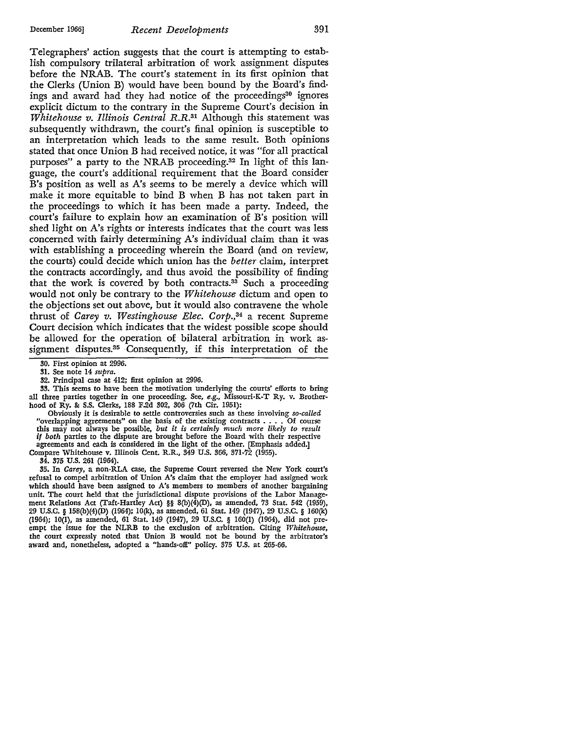Telegraphers' action suggests that the court is attempting to establish compulsory trilateral arbitration of work assignment disputes before the NRAB. The court's statement in its first opinion that the Clerks (Union B) would have been bound by the Board's findings and award had they had notice of the proceedings<sup>30</sup> ignores explicit dictum *to* the contrary in the Supreme Court's decision in *Whitehouse v. Illinois Central* R.R.31 Although this statement was subsequently withdrawn, the court's final opinion is susceptible to an interpretation which leads *to* the same result. Both opinions stated that once Union B had received notice, it was "for all practical purposes" a party to the NRAB proceeding.32 In light of this language, the court's additional requirement that the Board consider B's position as well as A's seems to be merely a device which will make it more equitable to bind B when B has not taken part in the proceedings to which it has been made a party. Indeed, the court's failure to explain how an examination of B's position will shed light on A's rights or interests indicates that the court was less concerned with fairly determining A's individual claim than it was with establishing a proceeding wherein the Board (and on review, the courts) could decide which union has the *better* claim, interpret the contracts accordingly, and thus avoid the possibility of finding that the work is covered by both contracts. $33$  Such a proceeding would not only be contrary to the *Whitehouse* dictum and open to the objections set out above, but it would also contravene the whole thrust of *Carey v. Westinghouse Elec. Corp.,34* a recent Supreme Court decision which indicates that the widest possible scope should be allowed for the operation of bilateral arbitration in work assignment disputes.35 Consequently, if this interpretation of the

32. Principal case at 412; first opinion at 2996.

33. This seems to have been the motivation underlying the courts' efforts to bring all three parties together in one proceeding. See, *e.g.,* Missouri-K-T Ry. v. Brotherhood of Ry. & S.S. Clerks, 188 F.2d 302, 306 (7th Cir. 1951):

Obviously it is desirable to settle controversies such as these involving *so-called*  "overlapping agreements" on the basis of the existing contracts . . . . Of course this may not always be possible, *but it is certainly much more likely to result if both* parties to the dispute are brought before the Board with their respective agreements and each is considered in the light of the other. [Emphasis added.] Compare Whitehouse v. Illinois Cent. R.R., 349 U.S. 366, 371-72 (1955).

34. 375 U.S. 261 (1964).

35. In *Carey,* a non-RLA case, the Supreme Court reversed the New York court's refusal to compel arbitration of Union A's claim that the employer had assigned work which should have been assigned to A's members to members of another bargaining unit. The court held that the jurisdictional dispute provisions of the Labor Management Relations Act (Taft-Hartley Act) §§ 8(b)(4)(D), as amended, 73 Stat. 542 (1959), 29 U.S.C. § 158(b)(4)(D) (1964); I0(k), as amended, 61 Stat. 149 (1947), 29 U.S.C. § 160(k) (1964); 10(1), as amended, 61 Stat. 149 (1947), 29 U.S.C. § 160(1) (1964), did not preempt the issue for the NLRB to the exclusion of arbitration. Citing *Whitehouse,*  the court expressly noted that Union B would not be bound by the arbitrator's award and, nonetheless, adopted a "hands-off" policy. 375 U.S. at 265-66.

<sup>30.</sup> First opinion at 2996.

<sup>31.</sup> See note 14 *supra.*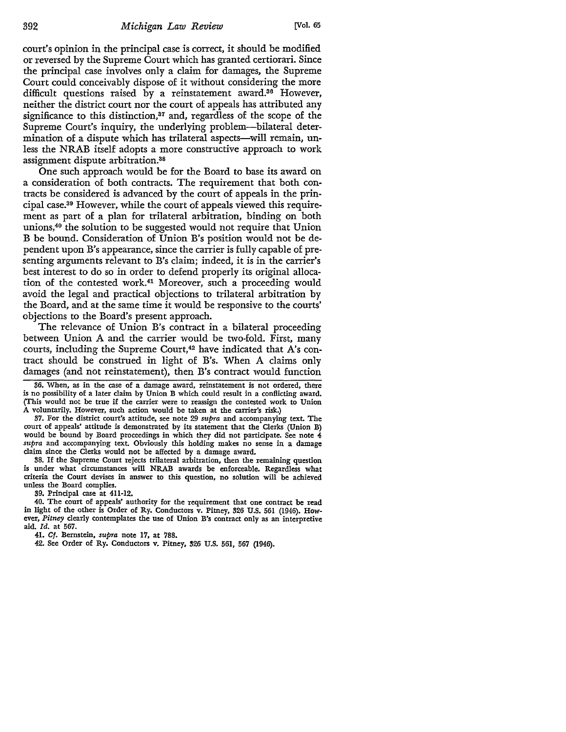court's opinion in the principal case is correct, it should be modified or reversed by the Supreme Court which has granted certiorari. Since the principal case involves only a claim for damages, the Supreme Court could conceivably dispose of it without considering the more difficult questions raised by a reinstatement award.36 However, neither the district court nor the court of appeals has attributed any significance to this distinction, $37$  and, regardless of the scope of the Supreme Court's inquiry, the underlying problem-bilateral determination of a dispute which has trilateral aspects—will remain, unless the NRAB itself adopts a more constructive approach to work assignment dispute arbitration.38

One such approach would be for the Board to base its award on a consideration of both contracts. The requirement that both contracts be considered is advanced by the court of appeals in the principal case.39 However, while the court of appeals viewed this requirement as part of a plan for trilateral arbitration, binding on both unions,40 the solution to be suggested would not require that Union B be bound. Consideration of Union B's position would not be dependent upon B's appearance, since the carrier is fully capable of presenting arguments relevant to B's claim; indeed, it is in the carrier's best interest to do so in order to defend properly its original allocation of the contested work.41 Moreover, such a proceeding would avoid the legal and practical objections to trilateral arbitration by the Board, and at the same time it would be responsive to the courts' objections to the Board's present approach.

The relevance of Union B's contract in a bilateral proceeding between Union A and the carrier would be two-fold. First, many courts, including the Supreme Court,<sup>42</sup> have indicated that A's contract should be construed in light of B's. When A claims only damages (and not reinstatement), then B's contract would function

36. When, as in the case of a damage award, reinstatement is not ordered, there is no possibility of a later claim by Union B which could result in a conflicting award. (This would not be true if the carrier were to reassign the contested work to Union A voluntarily. However, such action would be taken at the carrier's risk.)

*37.* For the district court's attitude, see note 29 *supra* and accompanying text. The court of appeals' attitude is demonstrated by its statement that the Clerks (Union B) would be bound by Board proceedings in which they did not participate. See note 4 *supra* and accompanying text. Obviously this holding makes no sense in a damage claim since the Clerks would not be affected by a damage award.

38. If the Supreme Court rejects trilateral arbitration, then the remaining question is under what circumstances will NRAB awards be enforceable. Regardless what criteria the Court devises in answer to this question, no solution will be achieved unless the Board complies.

*39.* Principal case at 411-12.

40. The court of appeals' authority for the requirement that one contract be read in light of the other is Order of Ry. Conductors v. Pitney, 326 U.S. 561 (1946). However, *Pitney* clearly contemplates the use of Union B's contract only as an interpretive aid. *Id.* at 567.

41. Cf. Bernstein, *supra* note 17, at 788.

42. See Order of Ry. Conductors v. Pitney, 326 U.S. 561, 567 (1946).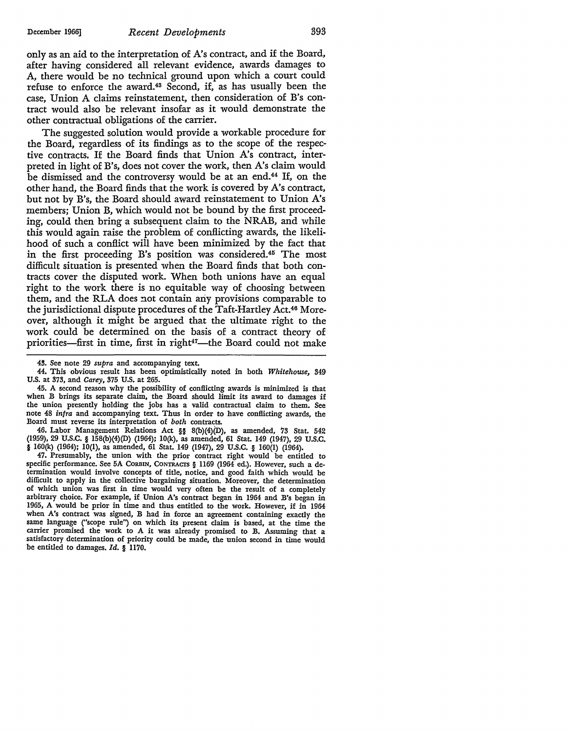only as an aid to the interpretation of A's contract, and if the Board, after having considered all relevant evidence, awards damages to A, there would be no technical ground upon which a court could refuse to enforce the award.43 Second, if, as has usually been the case, Union A claims reinstatement, then consideration of B's contract would also be relevant insofar as it would demonstrate the other contractual obligations of the carrier.

The suggested solution would provide a workable procedure for the Board, regardless of its findings as to the scope of the respective contracts. If the Board finds that Union A's contract, interpreted in light of B's, does not cover the work, then A's claim would be dismissed and the controversy would be at an end.<sup>44</sup> If, on the other hand, the Board finds that the work is covered by A's contract, but not by **B's,** the Board should award reinstatement to Union A's members; Union B, which would not be bound by the first proceeding, could then bring a subsequent claim to the NRAB, and while this would again raise the problem of conflicting awards, the likelihood of such a conflict will have been minimized by the fact that in the first proceeding B's position was considered.45 The most difficult situation is presented when the Board finds that both contracts cover the disputed work. When both unions have an equal right to the work there is no equitable way of choosing between them, and the RLA does not contain any provisions comparable to the jurisdictional dispute procedures of the Taft-Hartley Act.46 Moreover, although it might be argued that the ultimate right to the work could be determined on the basis of a contract theory of priorities-first in time, first in right<sup>47</sup>-the Board could not make

45. A second reason why the possibility of conflicting awards is minimized is that when B brings its separate claim, the Board should limit its award to damages if the union presently holding the jobs has a valid contractual claim to them. See note 48 *infra* and accompanying text. Thus in order to have conflicting awards, the Board must reverse its interpretation of *both* contracts.

46. Labor Management Relations Act §§ 8(b)(4)(D), as amended, 73 Stat. 542 (1959), 29 U.S.C. § 158(b)(4)(D) (1964); l0(k), as amended, 61 Stat. 149 (1947), 29 U.S.C. § 160(k) (1964): 10(1), as amended, 61 Stat. 149 (1947), 29 U.S.C. § 160(1) (1964).

47. Presumably, the union with the prior contract right would be entitled to specific performance. See 5A CORBIN, CONTRACTS § 1169 (1964 ed.). However, such a determination would involve concepts of title, notice, and good faith which would be difficult to apply in the collective bargaining situation. Moreover, the determination of which union was first in time would very often be the result of a completely arbitrary choice. For example, if Union A's contract began in 1964 and B's began in 1965, A would be prior in time and thus entitled to the work. However, if in 1964 when A's contract was signed, B had in force an agreement containing exactly the same language ("scope mle') on which its present claim is based, at the time the carrier promised the work to A it was already promised to B. Assuming that a satisfactory determination of priority could be made, the union second in time would be entitled to damages. *Id.* § 1170.

<sup>43.</sup> See note 29 *supra* and accompanying text.

<sup>44.</sup> This obvious result has been optimistically noted in both *Whitehouse,* 849 U.S. at 373, and *Carey,* 875 U.S. at 265.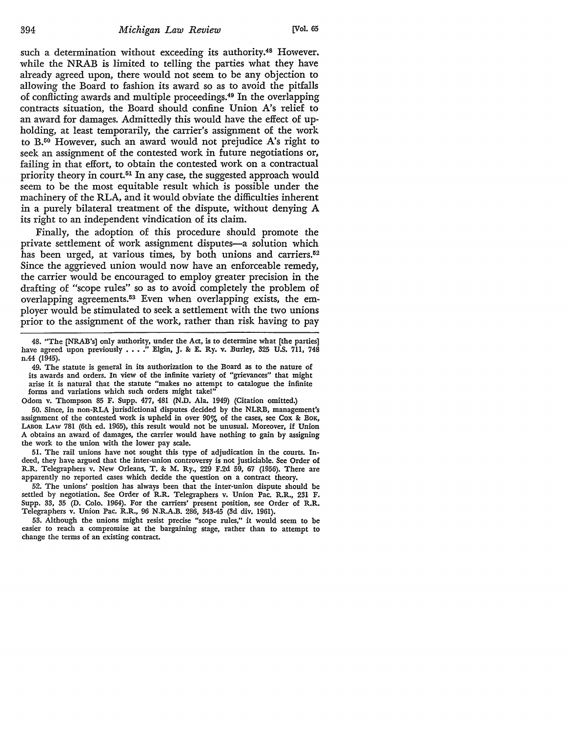such a determination without exceeding its authority.<sup>48</sup> However, while the NRAB is limited to telling the parties what they have already agreed upon, there would not seem to be any objection to allowing the Board to fashion its award so as to avoid the pitfalls of conflicting awards and multiple proceedings.49 In the overlapping contracts situation, the Board should confine Union A's relief to an award for damages. Admittedly this would have the effect of upholding, at least temporarily, the carrier's assignment of the work to B.50 However, such an award would not prejudice A's right to seek an assignment of the contested work in future negotiations or, failing in that effort, to obtain the contested work on a contractual priority theory in court.<sup>51</sup> In any case, the suggested approach would seem to be the most equitable result which is possible under the machinery of the RLA, and it would obviate the difficulties inherent in a purely bilateral treatment of the dispute, without denying A its right to an independent vindication of its claim.

Finally, the adoption of this procedure should promote the private settlement of work assignment disputes-a solution which has been urged, at various times, by both unions and carriers.<sup>52</sup> Since the aggrieved union would now have an enforceable remedy, the carrier would be encouraged to employ greater precision in the drafting of "scope rules" so as to avoid completely the problem of overlapping agreements.<sup>53</sup> Even when overlapping exists, the employer would be stimulated to seek a settlement with the two unions prior to the assignment of the work, rather than risk having to pay

Odom v. Thompson 85 F. Supp. 477, 481 (N.D. Ala. 1949) (Citation omitted.) 50. Since, in non-RLA jurisdictional disputes decided by the NLRB, management's assignment of the contested work is upheld in over 90% of the cases, see Cox &: Bok, LABOR LAw 781 (6th ed. 1965), this result would not be unusual. Moreover, if Union A obtains an award of damages, the carrier would have nothing to gain by assigning the work to the union with the lower pay scale.

51. The rail unions have not sought this type of adjudication in the courts. In• deed, they have argued that the inter-union controversy is not justiciable. See Order of R.R. Telegraphers v. New Orleans, T. & M. Ry., 229 F.2d 59, 67 (1956). There are apparently no reported cases which decide the question on a contract theory.

52. The unions' position has always been that the inter-union dispute should be settled by negotiation. See Order of R.R. Telegraphers v. Union Pac. R.R., 231 F. Supp. 33, 35 (D. Colo. 1964). For the carriers' present position, see Order of R.R. Telegraphers v. Union Pac. R.R., 96 N.R.A.B. 286, 343.45 (3d div. 1961).

53. Although the unions might resist precise "scope rules," it would seem to be easier to reach a compromise at the bargaining stage, rather than to attempt to change the terms of an existing contract.

<sup>48. &</sup>quot;The [NRAB's] only authority, under the Act, is to determine what [the parties] have agreed upon previously •••• " Elgin, J. &: E. Ry. v. Burley, 325 U.S. 711, 748 n.44 (1945).

<sup>49.</sup> The statute is general in its authorization to the Board as to the nature of its awards and orders. In view of the infinite variety of "grievances" that might arise it is natural that the statute "makes no attempt to catalogue the infinite forms and variations which such orders might take!"